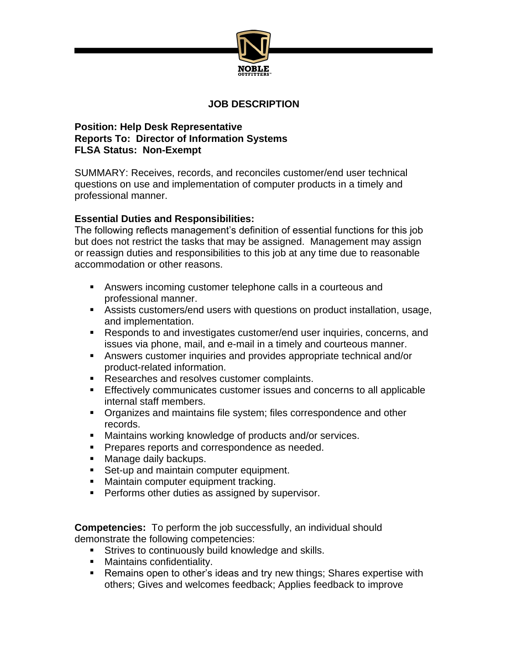

## **JOB DESCRIPTION**

## **Position: Help Desk Representative Reports To: Director of Information Systems FLSA Status: Non-Exempt**

SUMMARY: Receives, records, and reconciles customer/end user technical questions on use and implementation of computer products in a timely and professional manner.

## **Essential Duties and Responsibilities:**

The following reflects management's definition of essential functions for this job but does not restrict the tasks that may be assigned. Management may assign or reassign duties and responsibilities to this job at any time due to reasonable accommodation or other reasons.

- Answers incoming customer telephone calls in a courteous and professional manner.
- Assists customers/end users with questions on product installation, usage, and implementation.
- Responds to and investigates customer/end user inquiries, concerns, and issues via phone, mail, and e-mail in a timely and courteous manner.
- Answers customer inquiries and provides appropriate technical and/or product-related information.
- Researches and resolves customer complaints.
- **Effectively communicates customer issues and concerns to all applicable** internal staff members.
- Organizes and maintains file system; files correspondence and other records.
- Maintains working knowledge of products and/or services.
- **Prepares reports and correspondence as needed.**
- **Manage daily backups.**
- Set-up and maintain computer equipment.
- **Maintain computer equipment tracking.**
- **Performs other duties as assigned by supervisor.**

**Competencies:** To perform the job successfully, an individual should demonstrate the following competencies:

- **Strives to continuously build knowledge and skills.**
- **Maintains confidentiality.**
- **Remains open to other's ideas and try new things; Shares expertise with** others; Gives and welcomes feedback; Applies feedback to improve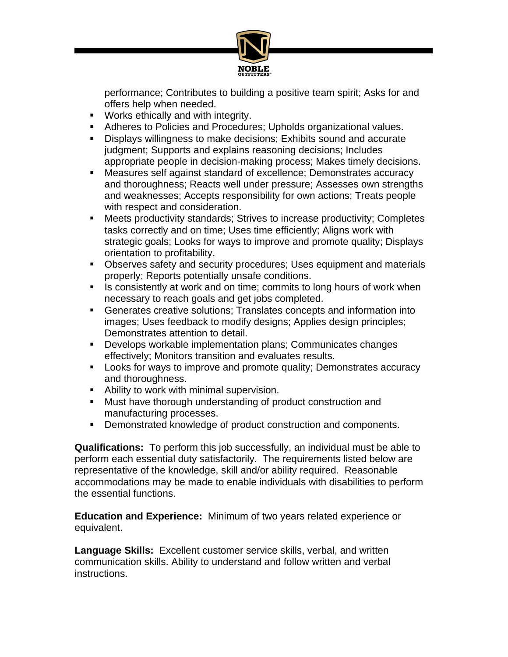

performance; Contributes to building a positive team spirit; Asks for and offers help when needed.

- **Works ethically and with integrity.**
- Adheres to Policies and Procedures; Upholds organizational values.
- Displays willingness to make decisions; Exhibits sound and accurate judgment; Supports and explains reasoning decisions; Includes appropriate people in decision-making process; Makes timely decisions.
- Measures self against standard of excellence; Demonstrates accuracy and thoroughness; Reacts well under pressure; Assesses own strengths and weaknesses; Accepts responsibility for own actions; Treats people with respect and consideration.
- Meets productivity standards; Strives to increase productivity; Completes tasks correctly and on time; Uses time efficiently; Aligns work with strategic goals; Looks for ways to improve and promote quality; Displays orientation to profitability.
- Observes safety and security procedures; Uses equipment and materials properly; Reports potentially unsafe conditions.
- In Is consistently at work and on time; commits to long hours of work when necessary to reach goals and get jobs completed.
- Generates creative solutions; Translates concepts and information into images; Uses feedback to modify designs; Applies design principles; Demonstrates attention to detail.
- Develops workable implementation plans; Communicates changes effectively; Monitors transition and evaluates results.
- **Looks for ways to improve and promote quality; Demonstrates accuracy** and thoroughness.
- Ability to work with minimal supervision.
- Must have thorough understanding of product construction and manufacturing processes.
- **Demonstrated knowledge of product construction and components.**

**Qualifications:** To perform this job successfully, an individual must be able to perform each essential duty satisfactorily. The requirements listed below are representative of the knowledge, skill and/or ability required. Reasonable accommodations may be made to enable individuals with disabilities to perform the essential functions.

**Education and Experience:** Minimum of two years related experience or equivalent.

**Language Skills:** Excellent customer service skills, verbal, and written communication skills. Ability to understand and follow written and verbal instructions.